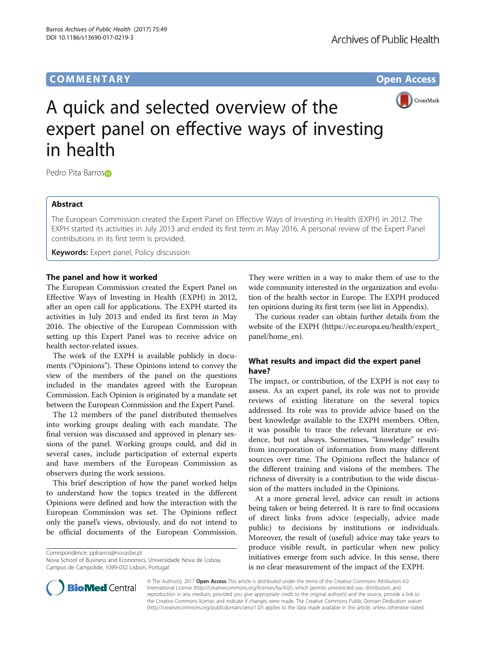# **COMMENTARY COMMENTARY Open Access**



# A quick and selected overview of the expert panel on effective ways of investing in health

Pedro Pita Barro[s](http://orcid.org/0000-0002-0881-4928)<sup>®</sup>

# Abstract

The European Commission created the Expert Panel on Effective Ways of Investing in Health (EXPH) in 2012. The EXPH started its activities in July 2013 and ended its first term in May 2016. A personal review of the Expert Panel contributions in its first term is provided.

**Keywords:** Expert panel, Policy discussion

# The panel and how it worked

The European Commission created the Expert Panel on Effective Ways of Investing in Health (EXPH) in 2012, after an open call for applications. The EXPH started its activities in July 2013 and ended its first term in May 2016. The objective of the European Commission with setting up this Expert Panel was to receive advice on health sector-related issues.

The work of the EXPH is available publicly in documents ("Opinions"). These Opinions intend to convey the view of the members of the panel on the questions included in the mandates agreed with the European Commission. Each Opinion is originated by a mandate set between the European Commission and the Expert Panel.

The 12 members of the panel distributed themselves into working groups dealing with each mandate. The final version was discussed and approved in plenary sessions of the panel. Working groups could, and did in several cases, include participation of external experts and have members of the European Commission as observers during the work sessions.

This brief description of how the panel worked helps to understand how the topics treated in the different Opinions were defined and how the interaction with the European Commission was set. The Opinions reflect only the panel's views, obviously, and do not intend to be official documents of the European Commission.

Correspondence: [ppbarros@novasbe.pt](mailto:ppbarros@novasbe.pt)

Nova School of Business and Economics, Universidade Nova de Lisboa, Campus de Campolide, 1099-032 Lisbon, Portugal

They were written in a way to make them of use to the wide community interested in the organization and evolution of the health sector in Europe. The EXPH produced ten opinions during its first term (see list in [Appendix](#page-3-0)).

The curious reader can obtain further details from the website of the EXPH ([https://ec.europa.eu/health/expert\\_](https://ec.europa.eu/health/expert_panel/home_en) [panel/home\\_en\)](https://ec.europa.eu/health/expert_panel/home_en).

# What results and impact did the expert panel have?

The impact, or contribution, of the EXPH is not easy to assess. As an expert panel, its role was not to provide reviews of existing literature on the several topics addressed. Its role was to provide advice based on the best knowledge available to the EXPH members. Often, it was possible to trace the relevant literature or evidence, but not always. Sometimes, "knowledge" results from incorporation of information from many different sources over time. The Opinions reflect the balance of the different training and visions of the members. The richness of diversity is a contribution to the wide discussion of the matters included in the Opinions.

At a more general level, advice can result in actions being taken or being deterred. It is rare to find occasions of direct links from advice (especially, advice made public) to decisions by institutions or individuals. Moreover, the result of (useful) advice may take years to produce visible result, in particular when new policy initiatives emerge from such advice. In this sense, there is no clear measurement of the impact of the EXPH.



© The Author(s). 2017 **Open Access** This article is distributed under the terms of the Creative Commons Attribution 4.0 International License [\(http://creativecommons.org/licenses/by/4.0/](http://creativecommons.org/licenses/by/4.0/)), which permits unrestricted use, distribution, and reproduction in any medium, provided you give appropriate credit to the original author(s) and the source, provide a link to the Creative Commons license, and indicate if changes were made. The Creative Commons Public Domain Dedication waiver [\(http://creativecommons.org/publicdomain/zero/1.0/](http://creativecommons.org/publicdomain/zero/1.0/)) applies to the data made available in this article, unless otherwise stated.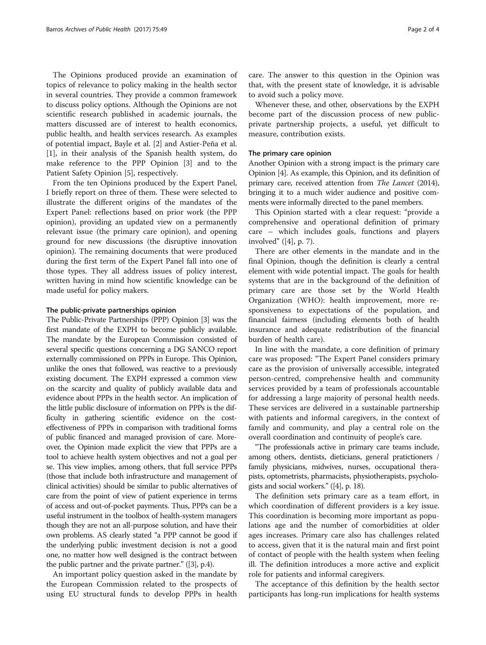The Opinions produced provide an examination of topics of relevance to policy making in the health sector in several countries. They provide a common framework to discuss policy options. Although the Opinions are not scientific research published in academic journals, the matters discussed are of interest to health economics, public health, and health services research. As examples of potential impact, Bayle et al. [[2\]](#page-3-0) and Astier-Peña et al. [[1\]](#page-3-0), in their analysis of the Spanish health system, do make reference to the PPP Opinion [[3\]](#page-3-0) and to the Patient Safety Opinion [[5](#page-3-0)], respectively.

From the ten Opinions produced by the Expert Panel, I briefly report on three of them. These were selected to illustrate the different origins of the mandates of the Expert Panel: reflections based on prior work (the PPP opinion), providing an updated view on a permanently relevant issue (the primary care opinion), and opening ground for new discussions (the disruptive innovation opinion). The remaining documents that were produced during the first term of the Expert Panel fall into one of those types. They all address issues of policy interest, written having in mind how scientific knowledge can be made useful for policy makers.

## The public-private partnerships opinion

The Public-Private Partnerships (PPP) Opinion [\[3\]](#page-3-0) was the first mandate of the EXPH to become publicly available. The mandate by the European Commission consisted of several specific questions concerning a DG SANCO report externally commissioned on PPPs in Europe. This Opinion, unlike the ones that followed, was reactive to a previously existing document. The EXPH expressed a common view on the scarcity and quality of publicly available data and evidence about PPPs in the health sector. An implication of the little public disclosure of information on PPPs is the difficulty in gathering scientific evidence on the costeffectiveness of PPPs in comparison with traditional forms of public financed and managed provision of care. Moreover, the Opinion made explicit the view that PPPs are a tool to achieve health system objectives and not a goal per se. This view implies, among others, that full service PPPs (those that include both infrastructure and management of clinical activities) should be similar to public alternatives of care from the point of view of patient experience in terms of access and out-of-pocket payments. Thus, PPPs can be a useful instrument in the toolbox of health-system managers though they are not an all-purpose solution, and have their own problems. AS clearly stated "a PPP cannot be good if the underlying public investment decision is not a good one, no matter how well designed is the contract between the public partner and the private partner." ([\[3](#page-3-0)], p.4).

An important policy question asked in the mandate by the European Commission related to the prospects of using EU structural funds to develop PPPs in health care. The answer to this question in the Opinion was that, with the present state of knowledge, it is advisable to avoid such a policy move.

Whenever these, and other, observations by the EXPH become part of the discussion process of new publicprivate partnership projects, a useful, yet difficult to measure, contribution exists.

# The primary care opinion

Another Opinion with a strong impact is the primary care Opinion [\[4](#page-3-0)]. As example, this Opinion, and its definition of primary care, received attention from The Lancet (2014), bringing it to a much wider audience and positive comments were informally directed to the panel members.

This Opinion started with a clear request: "provide a comprehensive and operational definition of primary care – which includes goals, functions and players involved" ([[4\]](#page-3-0), p. 7).

There are other elements in the mandate and in the final Opinion, though the definition is clearly a central element with wide potential impact. The goals for health systems that are in the background of the definition of primary care are those set by the World Health Organization (WHO): health improvement, more responsiveness to expectations of the population, and financial fairness (including elements both of health insurance and adequate redistribution of the financial burden of health care).

In line with the mandate, a core definition of primary care was proposed: "The Expert Panel considers primary care as the provision of universally accessible, integrated person-centred, comprehensive health and community services provided by a team of professionals accountable for addressing a large majority of personal health needs. These services are delivered in a sustainable partnership with patients and informal caregivers, in the context of family and community, and play a central role on the overall coordination and continuity of people's care.

"The professionals active in primary care teams include, among others, dentists, dieticians, general pratictioners / family physicians, midwives, nurses, occupational therapists, optometrists, pharmacists, physiotherapists, psychologists and social workers." ([\[4\]](#page-3-0), p. 18).

The definition sets primary care as a team effort, in which coordination of different providers is a key issue. This coordination is becoming more important as populations age and the number of comorbidities at older ages increases. Primary care also has challenges related to access, given that it is the natural main and first point of contact of people with the health system when feeling ill. The definition introduces a more active and explicit role for patients and informal caregivers.

The acceptance of this definition by the health sector participants has long-run implications for health systems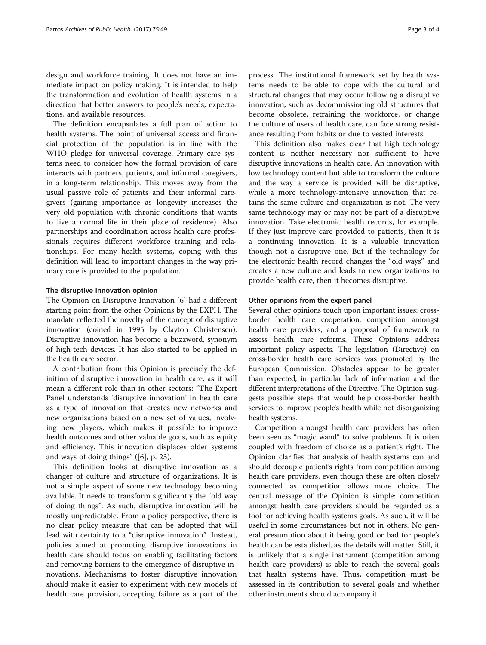design and workforce training. It does not have an immediate impact on policy making. It is intended to help the transformation and evolution of health systems in a direction that better answers to people's needs, expectations, and available resources.

The definition encapsulates a full plan of action to health systems. The point of universal access and financial protection of the population is in line with the WHO pledge for universal coverage. Primary care systems need to consider how the formal provision of care interacts with partners, patients, and informal caregivers, in a long-term relationship. This moves away from the usual passive role of patients and their informal caregivers (gaining importance as longevity increases the very old population with chronic conditions that wants to live a normal life in their place of residence). Also partnerships and coordination across health care professionals requires different workforce training and relationships. For many health systems, coping with this definition will lead to important changes in the way primary care is provided to the population.

# The disruptive innovation opinion

The Opinion on Disruptive Innovation [\[6](#page-3-0)] had a different starting point from the other Opinions by the EXPH. The mandate reflected the novelty of the concept of disruptive innovation (coined in 1995 by Clayton Christensen). Disruptive innovation has become a buzzword, synonym of high-tech devices. It has also started to be applied in the health care sector.

A contribution from this Opinion is precisely the definition of disruptive innovation in health care, as it will mean a different role than in other sectors: "The Expert Panel understands 'disruptive innovation' in health care as a type of innovation that creates new networks and new organizations based on a new set of values, involving new players, which makes it possible to improve health outcomes and other valuable goals, such as equity and efficiency. This innovation displaces older systems and ways of doing things" ([[6\]](#page-3-0), p. 23).

This definition looks at disruptive innovation as a changer of culture and structure of organizations. It is not a simple aspect of some new technology becoming available. It needs to transform significantly the "old way of doing things". As such, disruptive innovation will be mostly unpredictable. From a policy perspective, there is no clear policy measure that can be adopted that will lead with certainty to a "disruptive innovation". Instead, policies aimed at promoting disruptive innovations in health care should focus on enabling facilitating factors and removing barriers to the emergence of disruptive innovations. Mechanisms to foster disruptive innovation should make it easier to experiment with new models of health care provision, accepting failure as a part of the

process. The institutional framework set by health systems needs to be able to cope with the cultural and structural changes that may occur following a disruptive innovation, such as decommissioning old structures that become obsolete, retraining the workforce, or change the culture of users of health care, can face strong resistance resulting from habits or due to vested interests.

This definition also makes clear that high technology content is neither necessary nor sufficient to have disruptive innovations in health care. An innovation with low technology content but able to transform the culture and the way a service is provided will be disruptive, while a more technology-intensive innovation that retains the same culture and organization is not. The very same technology may or may not be part of a disruptive innovation. Take electronic health records, for example. If they just improve care provided to patients, then it is a continuing innovation. It is a valuable innovation though not a disruptive one. But if the technology for the electronic health record changes the "old ways" and creates a new culture and leads to new organizations to provide health care, then it becomes disruptive.

# Other opinions from the expert panel

Several other opinions touch upon important issues: crossborder health care cooperation, competition amongst health care providers, and a proposal of framework to assess health care reforms. These Opinions address important policy aspects. The legislation (Directive) on cross-border health care services was promoted by the European Commission. Obstacles appear to be greater than expected, in particular lack of information and the different interpretations of the Directive. The Opinion suggests possible steps that would help cross-border health services to improve people's health while not disorganizing health systems.

Competition amongst health care providers has often been seen as "magic wand" to solve problems. It is often coupled with freedom of choice as a patient's right. The Opinion clarifies that analysis of health systems can and should decouple patient's rights from competition among health care providers, even though these are often closely connected, as competition allows more choice. The central message of the Opinion is simple: competition amongst health care providers should be regarded as a tool for achieving health systems goals. As such, it will be useful in some circumstances but not in others. No general presumption about it being good or bad for people's health can be established, as the details will matter. Still, it is unlikely that a single instrument (competition among health care providers) is able to reach the several goals that health systems have. Thus, competition must be assessed in its contribution to several goals and whether other instruments should accompany it.